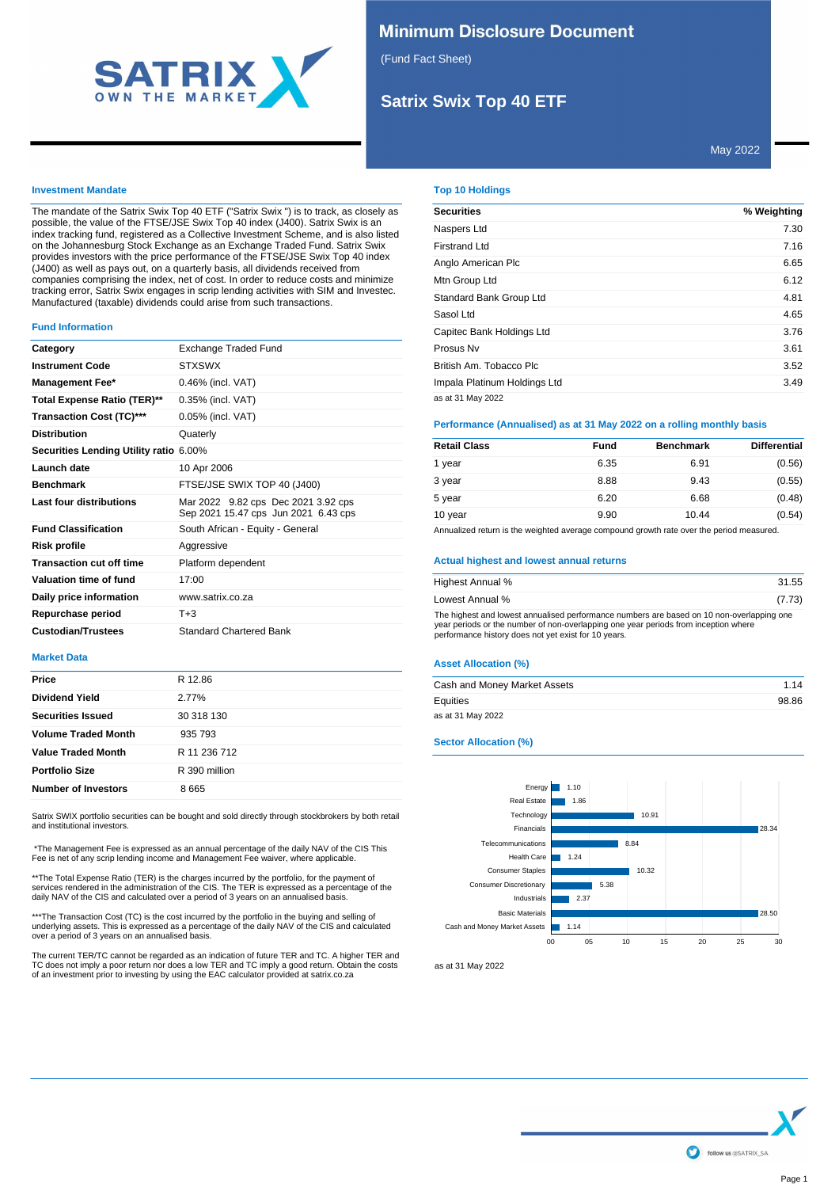

## **Minimum Disclosure Document**

(Fund Fact Sheet)

# **Satrix Swix Top 40 ETF**

## **Investment Mandate**

The mandate of the Satrix Swix Top 40 ETF ("Satrix Swix ") is to track, as closely as possible, the value of the FTSE/JSE Swix Top 40 index (J400). Satrix Swix is an index tracking fund, registered as a Collective Investment Scheme, and is also listed on the Johannesburg Stock Exchange as an Exchange Traded Fund. Satrix Swix provides investors with the price performance of the FTSE/JSE Swix Top 40 index (J400) as well as pays out, on a quarterly basis, all dividends received from companies comprising the index, net of cost. In order to reduce costs and minimize tracking error, Satrix Swix engages in scrip lending activities with SIM and Investec. Manufactured (taxable) dividends could arise from such transactions.

#### **Fund Information**

| Category                               | Exchange Traded Fund                                                        |  |
|----------------------------------------|-----------------------------------------------------------------------------|--|
| <b>Instrument Code</b>                 | <b>STXSWX</b>                                                               |  |
| <b>Management Fee*</b>                 | 0.46% (incl. VAT)                                                           |  |
| Total Expense Ratio (TER)**            | 0.35% (incl. VAT)                                                           |  |
| <b>Transaction Cost (TC)***</b>        | 0.05% (incl. VAT)                                                           |  |
| <b>Distribution</b>                    | Quaterly                                                                    |  |
| Securities Lending Utility ratio 6.00% |                                                                             |  |
| Launch date                            | 10 Apr 2006                                                                 |  |
| <b>Benchmark</b>                       | FTSE/JSE SWIX TOP 40 (J400)                                                 |  |
| Last four distributions                | Mar 2022 9.82 cps Dec 2021 3.92 cps<br>Sep 2021 15.47 cps Jun 2021 6.43 cps |  |
| <b>Fund Classification</b>             | South African - Equity - General                                            |  |
| <b>Risk profile</b>                    | Aggressive                                                                  |  |
| <b>Transaction cut off time</b>        | Platform dependent                                                          |  |
| Valuation time of fund                 | 17:00                                                                       |  |
| Daily price information                | www.satrix.co.za                                                            |  |
| Repurchase period                      | T+3                                                                         |  |
| <b>Custodian/Trustees</b>              | <b>Standard Chartered Bank</b>                                              |  |

## **Market Data**

| Price                      | R 12.86       |
|----------------------------|---------------|
| <b>Dividend Yield</b>      | 2.77%         |
| <b>Securities Issued</b>   | 30 318 130    |
| <b>Volume Traded Month</b> | 935 793       |
| <b>Value Traded Month</b>  | R 11 236 712  |
| <b>Portfolio Size</b>      | R 390 million |
| <b>Number of Investors</b> | 8665          |
|                            |               |

Satrix SWIX portfolio securities can be bought and sold directly through stockbrokers by both retail and institutional investors.

 \*The Management Fee is expressed as an annual percentage of the daily NAV of the CIS This Fee is net of any scrip lending income and Management Fee waiver, where applicable.

\*\*The Total Expense Ratio (TER) is the charges incurred by the portfolio, for the payment of services rendered in the administration of the CIS. The TER is expressed as a percentage of the daily NAV of the CIS and calculated over a period of 3 years on an annualised basis.

\*\*\*The Transaction Cost (TC) is the cost incurred by the portfolio in the buying and selling of<br>underlying assets. This is expressed as a percentage of the daily NAV of the CIS and calculated<br>over a period of 3 years on an

The current TER/TC cannot be regarded as an indication of future TER and TC. A higher TER and TC does not imply a poor return nor does a low TER and TC imply a good return. Obtain the costs of an investment prior to investing by using the EAC calculator provided at satrix.co.za

## **Top 10 Holdings**

| <b>Securities</b>            | % Weighting |
|------------------------------|-------------|
| Naspers Ltd                  | 7.30        |
| Firstrand Ltd                | 7.16        |
| Anglo American Plc           | 6.65        |
| Mtn Group Ltd                | 6.12        |
| Standard Bank Group Ltd      | 4.81        |
| Sasol Ltd                    | 4.65        |
| Capitec Bank Holdings Ltd    | 3.76        |
| Prosus Nv                    | 3.61        |
| British Am. Tobacco Plc      | 3.52        |
| Impala Platinum Holdings Ltd | 3.49        |
| as at 31 May 2022            |             |

## **Performance (Annualised) as at 31 May 2022 on a rolling monthly basis**

| <b>Retail Class</b> | Fund | <b>Benchmark</b> | <b>Differential</b> |
|---------------------|------|------------------|---------------------|
| 1 year              | 6.35 | 6.91             | (0.56)              |
| 3 year              | 8.88 | 9.43             | (0.55)              |
| 5 year              | 6.20 | 6.68             | (0.48)              |
| 10 year             | 9.90 | 10.44            | (0.54)              |

Annualized return is the weighted average compound growth rate over the period measured.

#### **Actual highest and lowest annual returns**

| Highest Annual %                                                                                                                                                                                                                         | 31.55  |
|------------------------------------------------------------------------------------------------------------------------------------------------------------------------------------------------------------------------------------------|--------|
| Lowest Annual %                                                                                                                                                                                                                          | (7.73) |
| The highest and lowest annualised performance numbers are based on 10 non-overlapping one<br>year periods or the number of non-overlapping one year periods from inception where<br>performance history does not yet exist for 10 years. |        |

#### **Asset Allocation (%)**

| Cash and Money Market Assets | 1.14  |
|------------------------------|-------|
| Equities                     | 98.86 |
| as at 31 May 2022            |       |

## **Sector Allocation (%)**



as at 31 May 2022